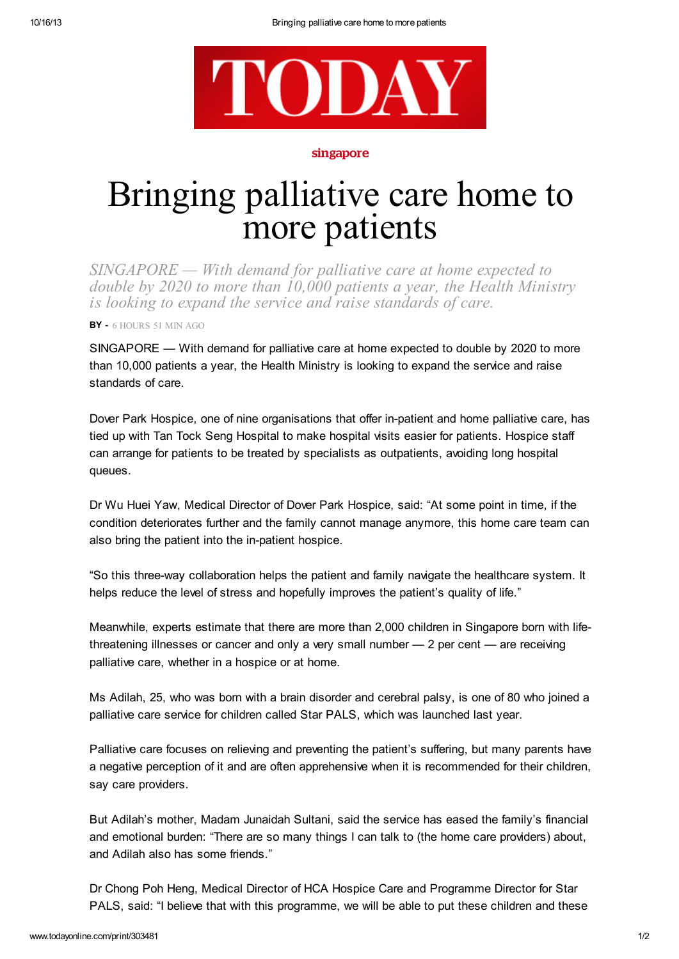

## singapore

## Bringing palliative care home to more patients

*SINGAPORE — With demand for palliative care at home expected to double by 2020 to more than 10,000 patients a year, the Health Ministry is looking to expand the service and raise standards of care.*

BY - 6 HOURS 51 MIN AGO

SINGAPORE — With demand for palliative care at home expected to double by 2020 to more than 10,000 patients a year, the Health Ministry is looking to expand the service and raise standards of care.

Dover Park Hospice, one of nine organisations that offer in-patient and home palliative care, has tied up with Tan Tock Seng Hospital to make hospital visits easier for patients. Hospice staff can arrange for patients to be treated by specialists as outpatients, avoiding long hospital queues.

Dr Wu Huei Yaw, Medical Director of Dover Park Hospice, said: "At some point in time, if the condition deteriorates further and the family cannot manage anymore, this home care team can also bring the patient into the in-patient hospice.

"So this three-way collaboration helps the patient and family navigate the healthcare system. It helps reduce the level of stress and hopefully improves the patient's quality of life."

Meanwhile, experts estimate that there are more than 2,000 children in Singapore born with lifethreatening illnesses or cancer and only a very small number — 2 per cent — are receiving palliative care, whether in a hospice or at home.

Ms Adilah, 25, who was born with a brain disorder and cerebral palsy, is one of 80 who joined a palliative care service for children called Star PALS, which was launched last year.

Palliative care focuses on relieving and preventing the patient's suffering, but many parents have a negative perception of it and are often apprehensive when it is recommended for their children, say care providers.

But Adilah's mother, Madam Junaidah Sultani, said the service has eased the family's financial and emotional burden: "There are so many things I can talk to (the home care providers) about, and Adilah also has some friends."

Dr Chong Poh Heng, Medical Director of HCA Hospice Care and Programme Director for Star PALS, said: "I believe that with this programme, we will be able to put these children and these